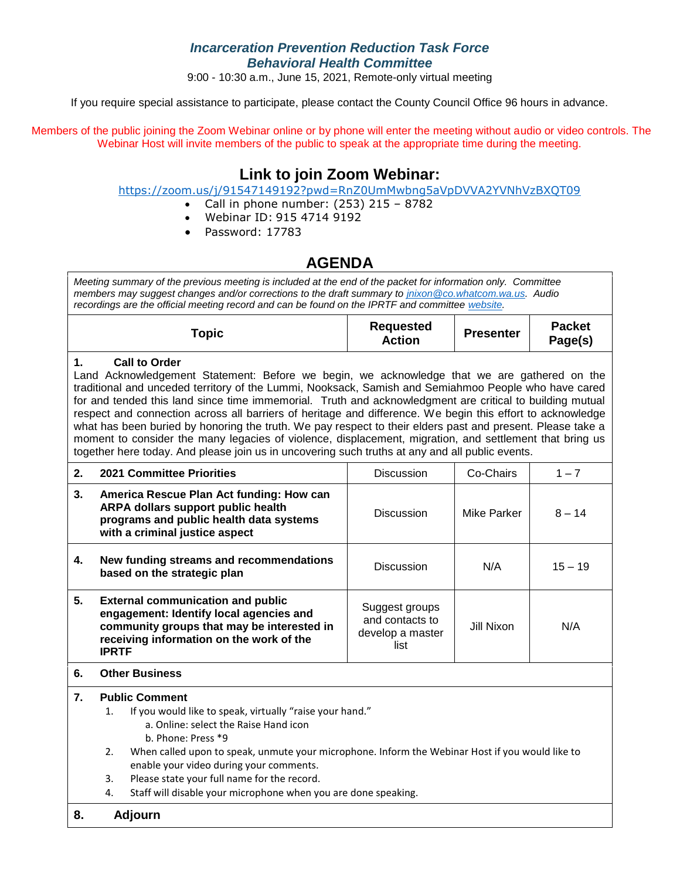### *Incarceration Prevention Reduction Task Force Behavioral Health Committee*

9:00 - 10:30 a.m., June 15, 2021, Remote-only virtual meeting

If you require special assistance to participate, please contact the County Council Office 96 hours in advance.

Members of the public joining the Zoom Webinar online or by phone will enter the meeting without audio or video controls. The Webinar Host will invite members of the public to speak at the appropriate time during the meeting.

## **Link to join Zoom Webinar:**

<https://zoom.us/j/91547149192?pwd=RnZ0UmMwbng5aVpDVVA2YVNhVzBXQT09>

- Call in phone number: (253) 215 8782
- Webinar ID: 915 4714 9192
- Password: 17783

## **AGENDA**

*Meeting summary of the previous meeting is included at the end of the packet for information only. Committee members may suggest changes and/or corrections to the draft summary to [jnixon@co.whatcom.wa.us.](mailto:jnixon@co.whatcom.wa.us) Audio recordings are the official meeting record and can be found on the IPRTF and committee [website.](http://www.co.whatcom.wa.us/2052/Incarceration-Prevention-and-Reduction-T)*

| Горіс | <b>Requested</b><br>Action | <b>Presenter</b> | <b>Packet</b><br>Page(s) |
|-------|----------------------------|------------------|--------------------------|
|-------|----------------------------|------------------|--------------------------|

#### **1. Call to Order**

Land Acknowledgement Statement: Before we begin, we acknowledge that we are gathered on the traditional and unceded territory of the Lummi, Nooksack, Samish and Semiahmoo People who have cared for and tended this land since time immemorial. Truth and acknowledgment are critical to building mutual respect and connection across all barriers of heritage and difference. We begin this effort to acknowledge what has been buried by honoring the truth. We pay respect to their elders past and present. Please take a moment to consider the many legacies of violence, displacement, migration, and settlement that bring us together here today. And please join us in uncovering such truths at any and all public events.

| 2. | <b>2021 Committee Priorities</b>                                                                                                                                                              | <b>Discussion</b>                                             | Co-Chairs   | $1 - 7$   |
|----|-----------------------------------------------------------------------------------------------------------------------------------------------------------------------------------------------|---------------------------------------------------------------|-------------|-----------|
| 3. | America Rescue Plan Act funding: How can<br>ARPA dollars support public health<br>programs and public health data systems<br>with a criminal justice aspect                                   | <b>Discussion</b>                                             | Mike Parker | $8 - 14$  |
| 4. | New funding streams and recommendations<br>based on the strategic plan                                                                                                                        | <b>Discussion</b>                                             | N/A         | $15 - 19$ |
| 5. | <b>External communication and public</b><br>engagement: Identify local agencies and<br>community groups that may be interested in<br>receiving information on the work of the<br><b>IPRTF</b> | Suggest groups<br>and contacts to<br>develop a master<br>list | Jill Nixon  | N/A       |

**6. Other Business** 

#### **7. Public Comment**

1. If you would like to speak, virtually "raise your hand."

- a. Online: select the Raise Hand icon b. Phone: Press \*9
- 2. When called upon to speak, unmute your microphone. Inform the Webinar Host if you would like to enable your video during your comments.
- 3. Please state your full name for the record.
- 4. Staff will disable your microphone when you are done speaking.

#### **8. Adjourn**